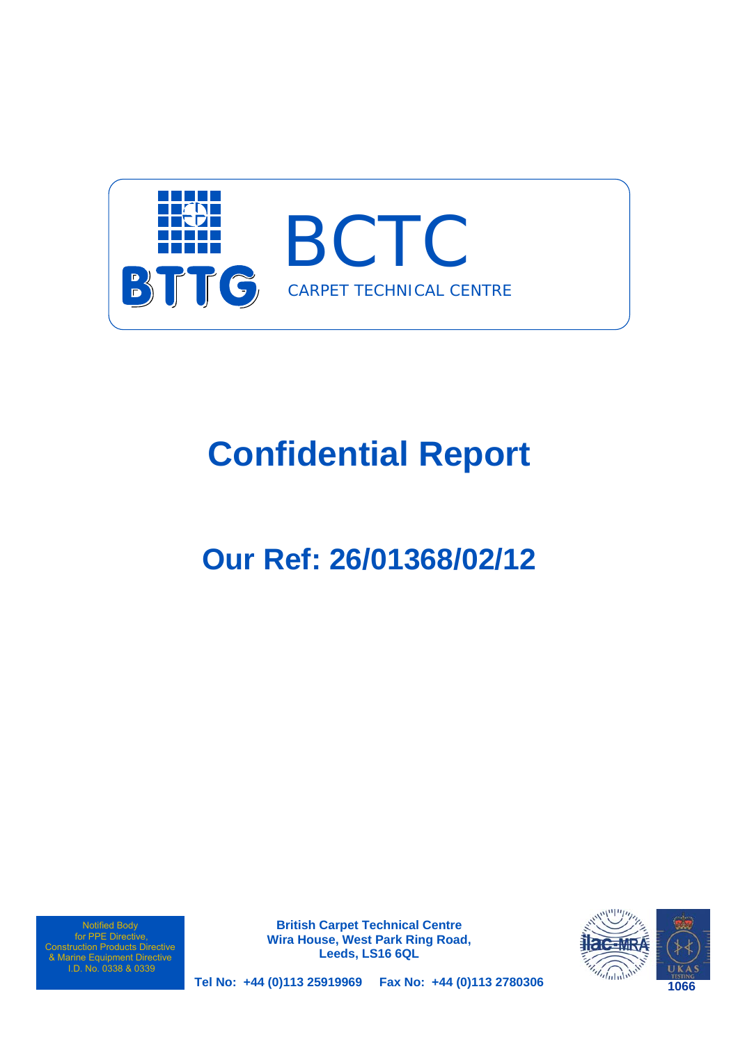

# **Confidential Report**

# **Our Ref: 26/01368/02/12**

Notified Body for PPE Directive, Construction Products Directive & Marine Equipment Directive I.D. No. 0338 & 0339

**British Carpet Technical Centre Wira House, West Park Ring Road, Leeds, LS16 6QL** 



**Tel No: +44 (0)113 25919969 Fax No: +44 (0)113 2780306**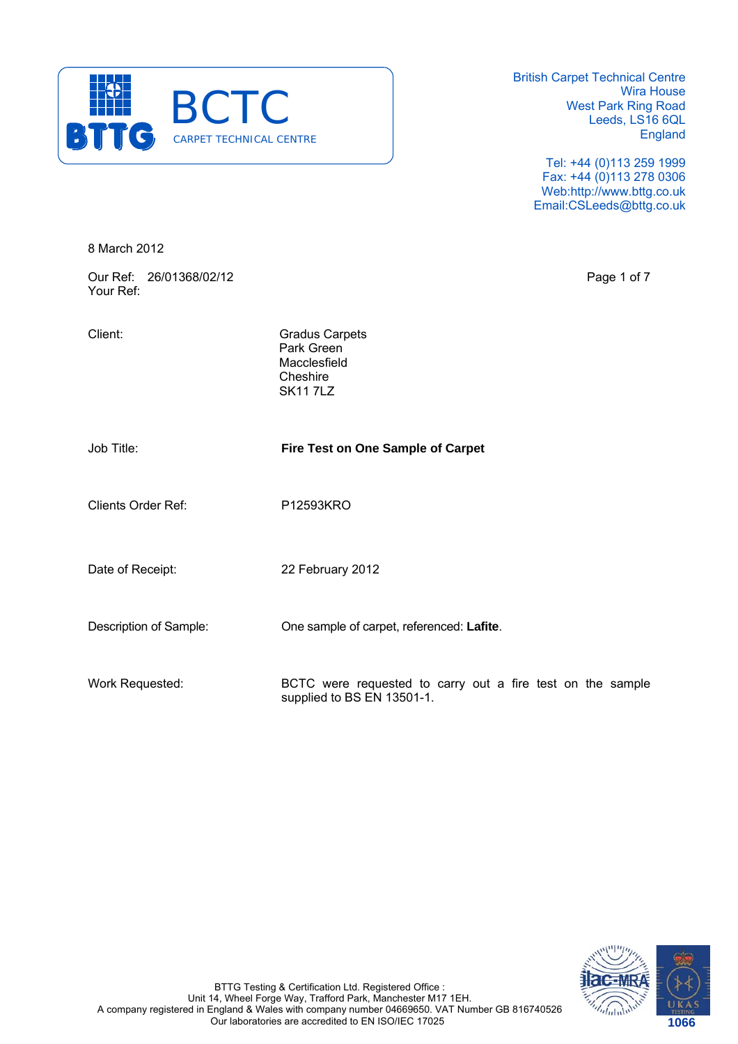

> Tel: +44 (0)113 259 1999 Fax: +44 (0)113 278 0306 Web:http://www.bttg.co.uk Email:CSLeeds@bttg.co.uk

8 March 2012

Our Ref: 26/01368/02/12 Page 1 of 7 Your Ref:

Client: Gradus Carpets Park Green Macclesfield Cheshire SK11 7LZ

Job Title: **Fire Test on One Sample of Carpet**

Clients Order Ref: P12593KRO

Date of Receipt: 22 February 2012

Description of Sample: One sample of carpet, referenced: **Lafite**.

Work Requested: BCTC were requested to carry out a fire test on the sample supplied to BS EN 13501-1.

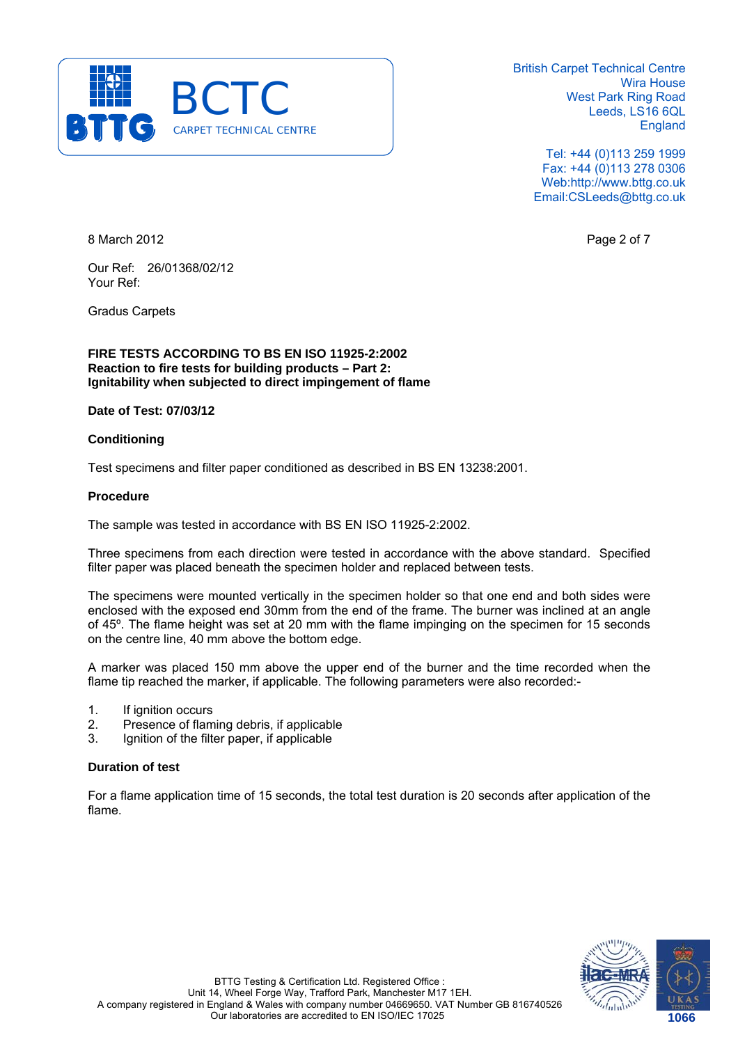

> Tel: +44 (0)113 259 1999 Fax: +44 (0)113 278 0306 Web:http://www.bttg.co.uk Email:CSLeeds@bttg.co.uk

8 March 2012 **Page 2 of 7** 

Our Ref: 26/01368/02/12 Your Ref:

Gradus Carpets

**FIRE TESTS ACCORDING TO BS EN ISO 11925-2:2002 Reaction to fire tests for building products – Part 2: Ignitability when subjected to direct impingement of flame** 

# **Date of Test: 07/03/12**

# **Conditioning**

Test specimens and filter paper conditioned as described in BS EN 13238:2001.

#### **Procedure**

The sample was tested in accordance with BS EN ISO 11925-2:2002.

Three specimens from each direction were tested in accordance with the above standard. Specified filter paper was placed beneath the specimen holder and replaced between tests.

The specimens were mounted vertically in the specimen holder so that one end and both sides were enclosed with the exposed end 30mm from the end of the frame. The burner was inclined at an angle of 45º. The flame height was set at 20 mm with the flame impinging on the specimen for 15 seconds on the centre line, 40 mm above the bottom edge.

A marker was placed 150 mm above the upper end of the burner and the time recorded when the flame tip reached the marker, if applicable. The following parameters were also recorded:-

- 1. If ignition occurs
- 2. Presence of flaming debris, if applicable
- 3. Ignition of the filter paper, if applicable

# **Duration of test**

For a flame application time of 15 seconds, the total test duration is 20 seconds after application of the flame.

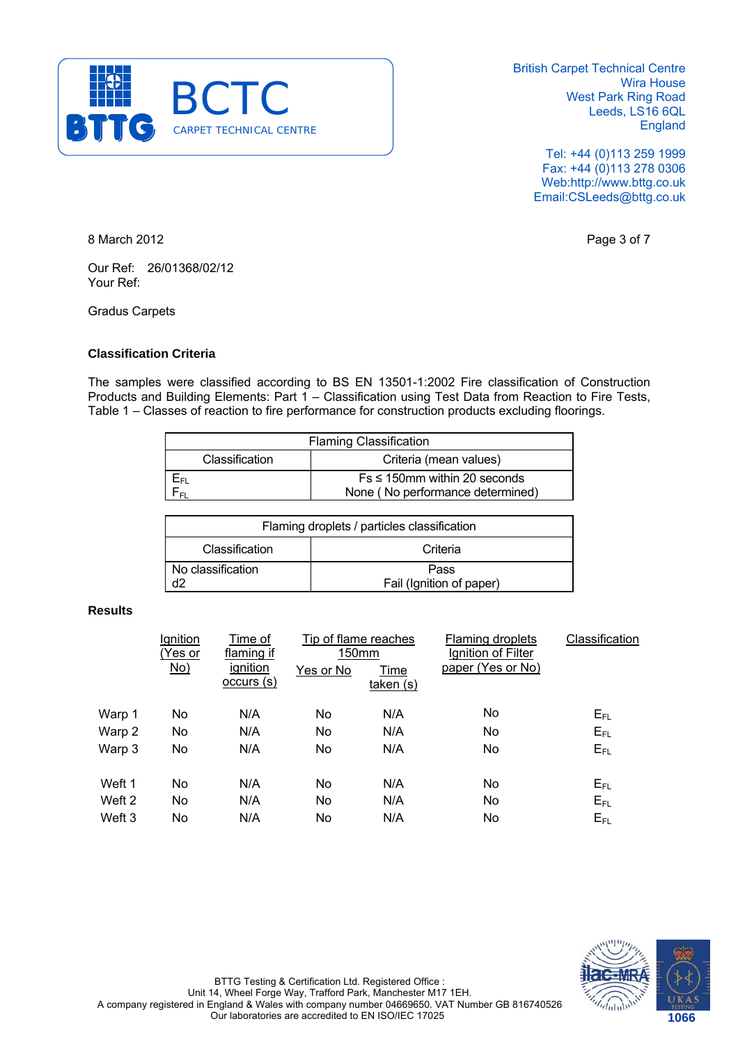

> Tel: +44 (0)113 259 1999 Fax: +44 (0)113 278 0306 Web:http://www.bttg.co.uk Email:CSLeeds@bttg.co.uk

8 March 2012 **Page 3 of 7** 

Our Ref: 26/01368/02/12 Your Ref:

Gradus Carpets

# **Classification Criteria**

The samples were classified according to BS EN 13501-1:2002 Fire classification of Construction Products and Building Elements: Part 1 – Classification using Test Data from Reaction to Fire Tests, Table 1 – Classes of reaction to fire performance for construction products excluding floorings.

| <b>Flaming Classification</b>            |                                    |  |  |
|------------------------------------------|------------------------------------|--|--|
| Criteria (mean values)<br>Classification |                                    |  |  |
| Ъει                                      | $Fs \leq 150$ mm within 20 seconds |  |  |
|                                          | None (No performance determined)   |  |  |

| Flaming droplets / particles classification |                                  |  |  |
|---------------------------------------------|----------------------------------|--|--|
| Classification                              | Criteria                         |  |  |
| No classification                           | Pass<br>Fail (Ignition of paper) |  |  |

# **Results**

|        | Ignition<br>(Yes or<br>No) | Time of<br>flaming if<br>ignition<br>occurs (s) | Tip of flame reaches<br>150mm<br>Yes or No | Time<br>taken(s) | Flaming droplets<br>Ignition of Filter<br>paper (Yes or No) | Classification |
|--------|----------------------------|-------------------------------------------------|--------------------------------------------|------------------|-------------------------------------------------------------|----------------|
| Warp 1 | No                         | N/A                                             | No                                         | N/A              | No                                                          | $E_{FL}$       |
| Warp 2 | No                         | N/A                                             | No                                         | N/A              | No                                                          | $E_{FL}$       |
| Warp 3 | No                         | N/A                                             | No                                         | N/A              | No                                                          | $E_{FL}$       |
| Weft 1 | No                         | N/A                                             | No                                         | N/A              | No                                                          | $E_{FL}$       |
| Weft 2 | No                         | N/A                                             | <b>No</b>                                  | N/A              | No                                                          | $E_{FL}$       |
| Weft 3 | No                         | N/A                                             | No                                         | N/A              | No                                                          | $E_{FL}$       |
|        |                            |                                                 |                                            |                  |                                                             |                |

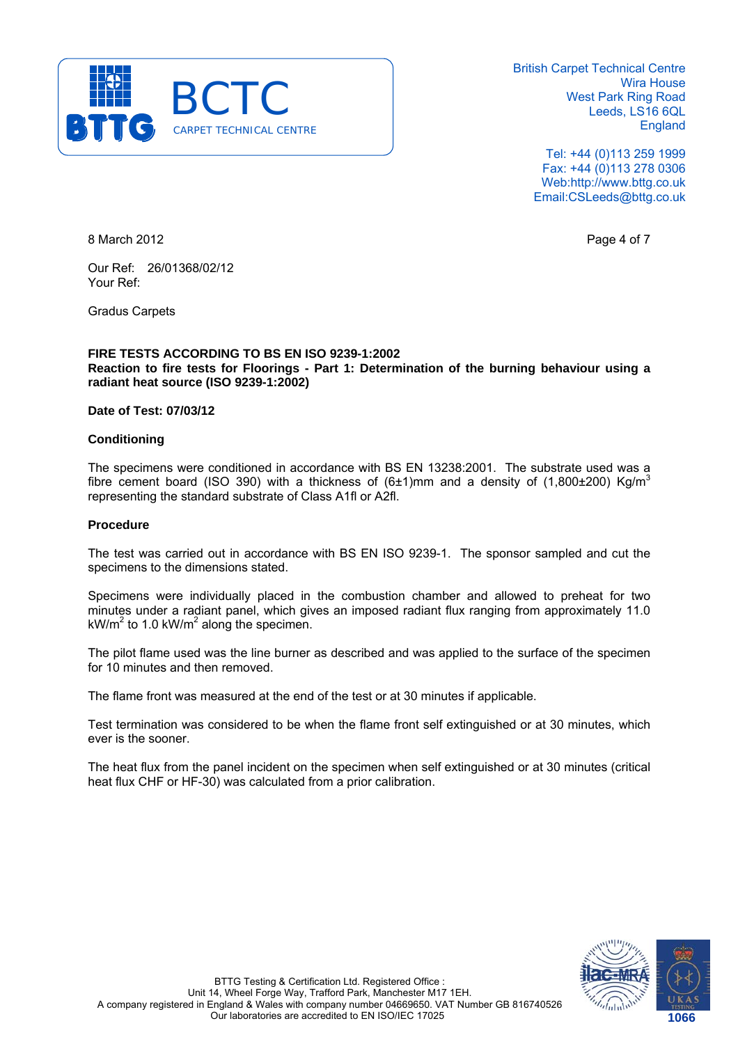

> Tel: +44 (0)113 259 1999 Fax: +44 (0)113 278 0306 Web:http://www.bttg.co.uk Email:CSLeeds@bttg.co.uk

8 March 2012 **Page 4 of 7** 

Our Ref: 26/01368/02/12 Your Ref:

Gradus Carpets

### **FIRE TESTS ACCORDING TO BS EN ISO 9239-1:2002 Reaction to fire tests for Floorings - Part 1: Determination of the burning behaviour using a radiant heat source (ISO 9239-1:2002)**

#### **Date of Test: 07/03/12**

# **Conditioning**

The specimens were conditioned in accordance with BS EN 13238:2001. The substrate used was a fibre cement board (ISO 390) with a thickness of  $(6±1)$ mm and a density of  $(1,800±200)$  Kg/m<sup>3</sup> representing the standard substrate of Class A1fl or A2fl.

#### **Procedure**

The test was carried out in accordance with BS EN ISO 9239-1. The sponsor sampled and cut the specimens to the dimensions stated.

Specimens were individually placed in the combustion chamber and allowed to preheat for two minutes under a radiant panel, which gives an imposed radiant flux ranging from approximately 11.0 kW/m<sup>2</sup> to 1.0 kW/m<sup>2</sup> along the specimen.

The pilot flame used was the line burner as described and was applied to the surface of the specimen for 10 minutes and then removed.

The flame front was measured at the end of the test or at 30 minutes if applicable.

Test termination was considered to be when the flame front self extinguished or at 30 minutes, which ever is the sooner.

The heat flux from the panel incident on the specimen when self extinguished or at 30 minutes (critical heat flux CHF or HF-30) was calculated from a prior calibration.

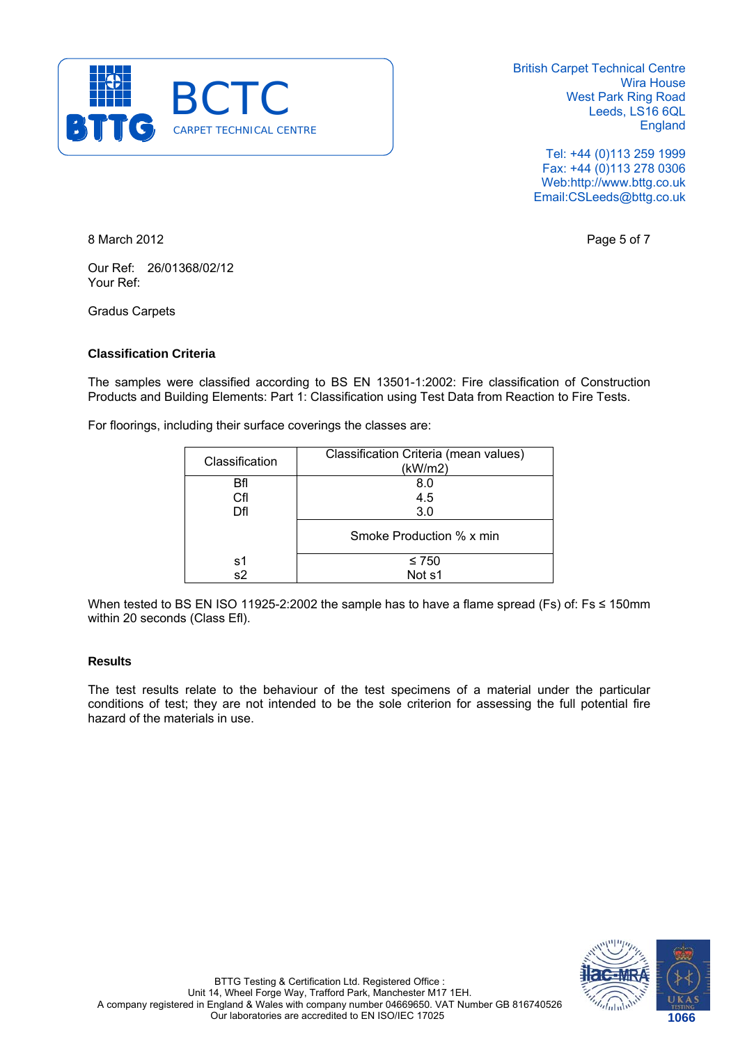

> Tel: +44 (0)113 259 1999 Fax: +44 (0)113 278 0306 Web:http://www.bttg.co.uk Email:CSLeeds@bttg.co.uk

8 March 2012 **Page 5 of 7** 

Our Ref: 26/01368/02/12 Your Ref:

Gradus Carpets

# **Classification Criteria**

The samples were classified according to BS EN 13501-1:2002: Fire classification of Construction Products and Building Elements: Part 1: Classification using Test Data from Reaction to Fire Tests.

For floorings, including their surface coverings the classes are:

| Classification | Classification Criteria (mean values)<br>(kW/m2) |
|----------------|--------------------------------------------------|
| Bfl            | 8.0                                              |
| Cfl            | 4.5                                              |
| Dfl            | 3.0                                              |
|                | Smoke Production % x min                         |
| s1             | $\leq 750$                                       |
| s2             | Not s1                                           |

When tested to BS EN ISO 11925-2:2002 the sample has to have a flame spread (Fs) of: Fs ≤ 150mm within 20 seconds (Class Efl).

# **Results**

The test results relate to the behaviour of the test specimens of a material under the particular conditions of test; they are not intended to be the sole criterion for assessing the full potential fire hazard of the materials in use.

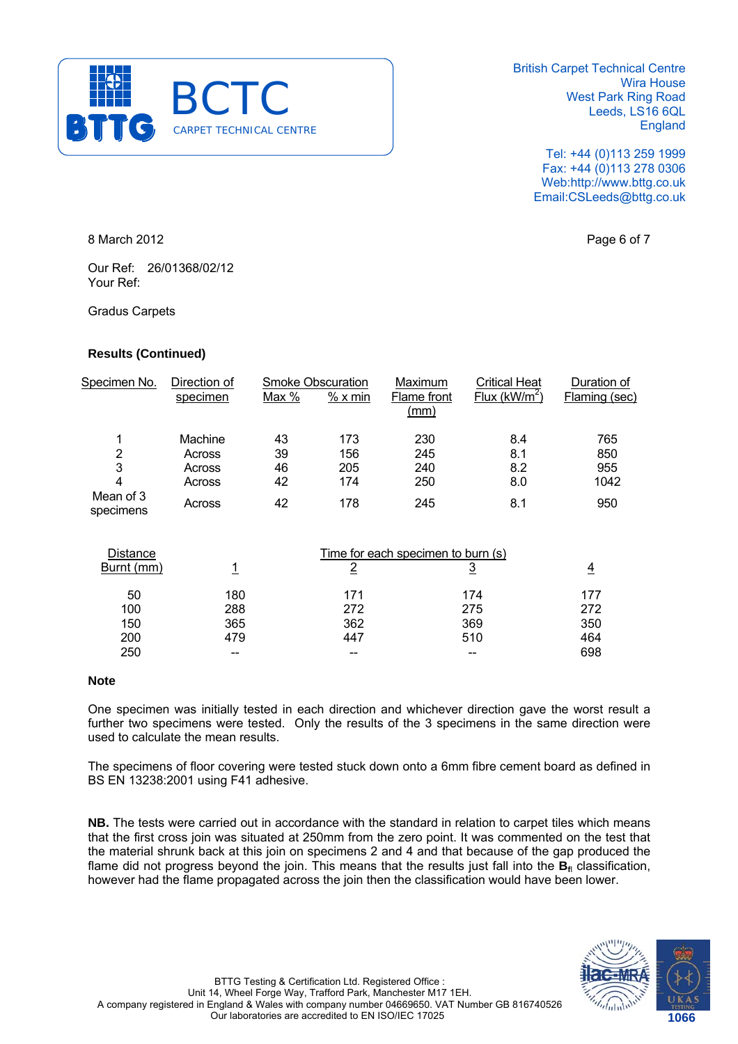

> Tel: +44 (0)113 259 1999 Fax: +44 (0)113 278 0306 Web:http://www.bttg.co.uk Email:CSLeeds@bttg.co.uk

8 March 2012 **Page 6 of 7** 

Our Ref: 26/01368/02/12 Your Ref:

Gradus Carpets

# **Results (Continued)**

| Specimen No.           | Direction of |       | <b>Smoke Obscuration</b> | Maximum             | <b>Critical Heat</b> | Duration of   |
|------------------------|--------------|-------|--------------------------|---------------------|----------------------|---------------|
|                        | specimen     | Max % | % x min                  | Flame front<br>(mm) | Flux ( $kW/m^2$ )    | Flaming (sec) |
| 1                      | Machine      | 43    | 173                      | 230                 | 8.4                  | 765           |
| 2                      | Across       | 39    | 156                      | 245                 | 8.1                  | 850           |
| 3                      | Across       | 46    | 205                      | 240                 | 8.2                  | 955           |
| 4                      | Across       | 42    | 174                      | 250                 | 8.0                  | 1042          |
| Mean of 3<br>specimens | Across       | 42    | 178                      | 245                 | 8.1                  | 950           |
|                        |              |       |                          |                     |                      |               |

| <b>Distance</b> | Time for each specimen to burn (s) |     |     |     |
|-----------------|------------------------------------|-----|-----|-----|
| Burnt (mm)      |                                    |     |     | 4   |
| 50              | 180                                | 171 | 174 | 177 |
| 100             | 288                                | 272 | 275 | 272 |
| 150             | 365                                | 362 | 369 | 350 |
| 200             | 479                                | 447 | 510 | 464 |
| 250             |                                    |     | --  | 698 |

# **Note**

One specimen was initially tested in each direction and whichever direction gave the worst result a further two specimens were tested. Only the results of the 3 specimens in the same direction were used to calculate the mean results.

The specimens of floor covering were tested stuck down onto a 6mm fibre cement board as defined in BS EN 13238:2001 using F41 adhesive.

**NB.** The tests were carried out in accordance with the standard in relation to carpet tiles which means that the first cross join was situated at 250mm from the zero point. It was commented on the test that the material shrunk back at this join on specimens 2 and 4 and that because of the gap produced the flame did not progress beyond the join. This means that the results just fall into the B<sub>fl</sub> classification, however had the flame propagated across the join then the classification would have been lower.